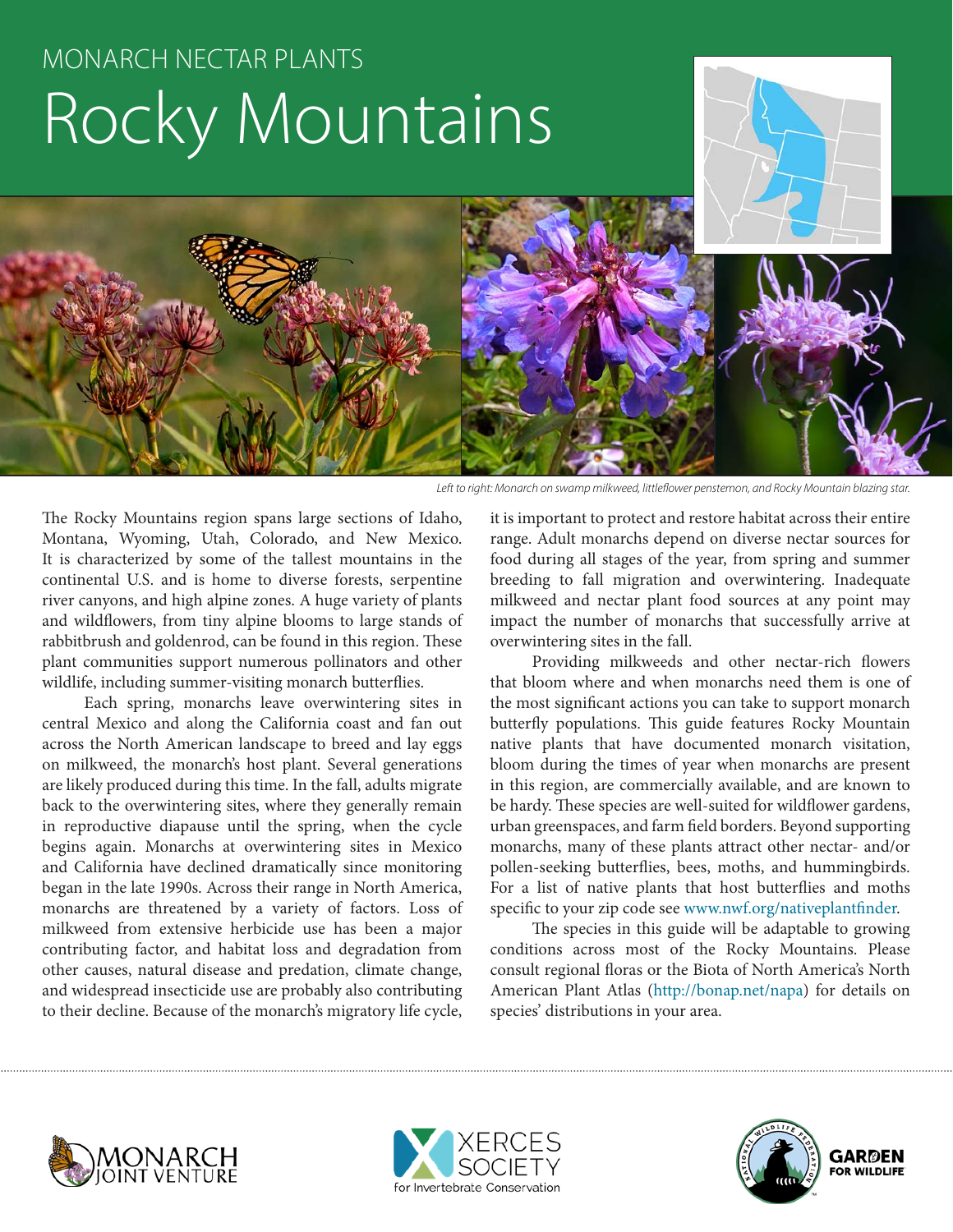# MONARCH NECTAR PLANTS Rocky Mountains





*Left to right: Monarch on swamp milkweed, littleflower penstemon, and Rocky Mountain blazing star.*

The Rocky Mountains region spans large sections of Idaho, Montana, Wyoming, Utah, Colorado, and New Mexico. It is characterized by some of the tallest mountains in the continental U.S. and is home to diverse forests, serpentine river canyons, and high alpine zones. A huge variety of plants and wildflowers, from tiny alpine blooms to large stands of rabbitbrush and goldenrod, can be found in this region. These plant communities support numerous pollinators and other wildlife, including summer-visiting monarch butterflies.

Each spring, monarchs leave overwintering sites in central Mexico and along the California coast and fan out across the North American landscape to breed and lay eggs on milkweed, the monarch's host plant. Several generations are likely produced during this time. In the fall, adults migrate back to the overwintering sites, where they generally remain in reproductive diapause until the spring, when the cycle begins again. Monarchs at overwintering sites in Mexico and California have declined dramatically since monitoring began in the late 1990s. Across their range in North America, monarchs are threatened by a variety of factors. Loss of milkweed from extensive herbicide use has been a major contributing factor, and habitat loss and degradation from other causes, natural disease and predation, climate change, and widespread insecticide use are probably also contributing to their decline. Because of the monarch's migratory life cycle,

it is important to protect and restore habitat across their entire range. Adult monarchs depend on diverse nectar sources for food during all stages of the year, from spring and summer breeding to fall migration and overwintering. Inadequate milkweed and nectar plant food sources at any point may impact the number of monarchs that successfully arrive at overwintering sites in the fall.

Providing milkweeds and other nectar-rich flowers that bloom where and when monarchs need them is one of the most significant actions you can take to support monarch butterfly populations. This guide features Rocky Mountain native plants that have documented monarch visitation, bloom during the times of year when monarchs are present in this region, are commercially available, and are known to be hardy. These species are well-suited for wildflower gardens, urban greenspaces, and farm field borders. Beyond supporting monarchs, many of these plants attract other nectar- and/or pollen-seeking butterflies, bees, moths, and hummingbirds. For a list of native plants that host butterflies and moths specific to your zip code see www.nwf.org/nativeplantfinder.

The species in this guide will be adaptable to growing conditions across most of the Rocky Mountains. Please consult regional floras or the Biota of North America's North American Plant Atlas (http://bonap.net/napa) for details on species' distributions in your area.





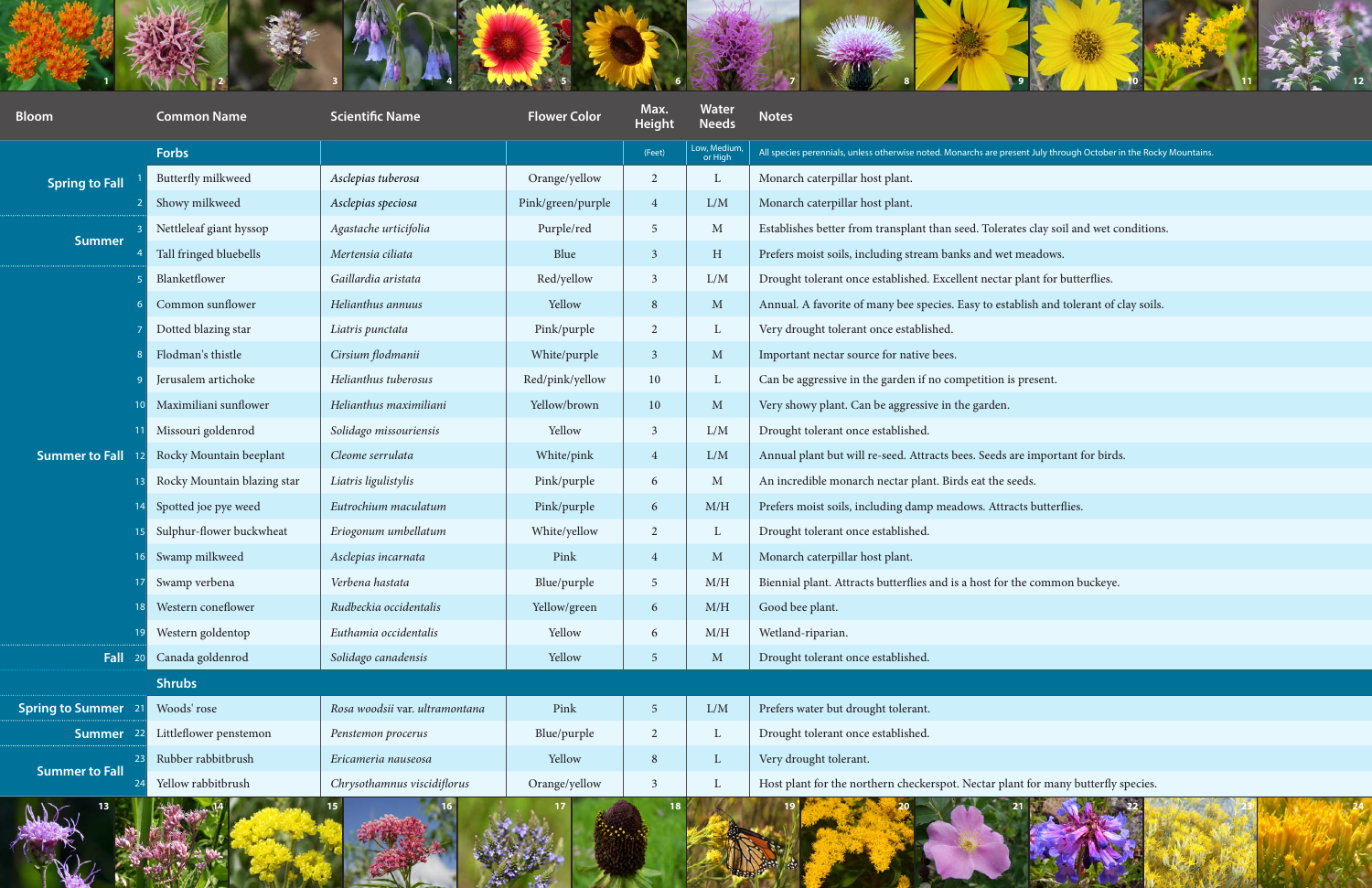

| <b>Bloom</b>            | <b>Common Name</b>          | <b>Scientific Name</b>         | <b>Flower Color</b> | Max.<br><b>Height</b> | <b>Water</b><br><b>Needs</b> | <b>Notes</b>                                                                                                      |
|-------------------------|-----------------------------|--------------------------------|---------------------|-----------------------|------------------------------|-------------------------------------------------------------------------------------------------------------------|
|                         | Forbs                       |                                |                     | (Feet)                | Low, Medium,<br>or High      | All species perennials, unless otherwise noted. Monarchs are present July through October in the Rocky Mountains. |
| <b>Spring to Fall</b>   | Butterfly milkweed          | Asclepias tuberosa             | Orange/yellow       | 2                     | $\mathbf{L}$                 | Monarch caterpillar host plant.                                                                                   |
|                         | Showy milkweed              | Asclepias speciosa             | Pink/green/purple   | $\overline{4}$        | L/M                          | Monarch caterpillar host plant.                                                                                   |
| <b>Summer</b>           | Nettleleaf giant hyssop     | Agastache urticifolia          | Purple/red          | - 5                   | $\mathbf{M}$                 | Establishes better from transplant than seed. Tolerates clay soil and wet conditions.                             |
|                         | Tall fringed bluebells      | Mertensia ciliata              | Blue                | $\overline{3}$        | H                            | Prefers moist soils, including stream banks and wet meadows.                                                      |
| <b>Summer to Fall</b>   | Blanketflower               | Gaillardia aristata            | Red/yellow          | $\overline{3}$        | L/M                          | Drought tolerant once established. Excellent nectar plant for butterflies.                                        |
|                         | Common sunflower            | Helianthus annuus              | Yellow              | 8                     | $\mathbf{M}$                 | Annual. A favorite of many bee species. Easy to establish and tolerant of clay soils.                             |
|                         | Dotted blazing star         | Liatris punctata               | Pink/purple         | 2                     | $\mathbf{L}$                 | Very drought tolerant once established.                                                                           |
|                         | Flodman's thistle           | Cirsium flodmanii              | White/purple        | $\overline{3}$        | $\mathbf{M}$                 | Important nectar source for native bees.                                                                          |
|                         | Jerusalem artichoke         | Helianthus tuberosus           | Red/pink/yellow     | 10                    | $\mathbf{L}$                 | Can be aggressive in the garden if no competition is present.                                                     |
|                         | Maximiliani sunflower       | Helianthus maximiliani         | Yellow/brown        | 10                    | $\mathbf{M}$                 | Very showy plant. Can be aggressive in the garden.                                                                |
|                         | Missouri goldenrod          | Solidago missouriensis         | Yellow              | $\overline{3}$        | L/M                          | Drought tolerant once established.                                                                                |
|                         | Rocky Mountain beeplant     | Cleome serrulata               | White/pink          | $\overline{4}$        | L/M                          | Annual plant but will re-seed. Attracts bees. Seeds are important for birds.                                      |
|                         | Rocky Mountain blazing star | Liatris ligulistylis           | Pink/purple         | 6                     | M                            | An incredible monarch nectar plant. Birds eat the seeds.                                                          |
|                         | Spotted joe pye weed        | Eutrochium maculatum           | Pink/purple         | 6                     | M/H                          | Prefers moist soils, including damp meadows. Attracts butterflies.                                                |
|                         | Sulphur-flower buckwheat    | Eriogonum umbellatum           | White/yellow        | $\overline{2}$        | $\mathbf{L}$                 | Drought tolerant once established.                                                                                |
|                         | Swamp milkweed              | Asclepias incarnata            | Pink                |                       | $\mathbf{M}$                 | Monarch caterpillar host plant.                                                                                   |
|                         | Swamp verbena               | Verbena hastata                | Blue/purple         | $\overline{5}$        | M/H                          | Biennial plant. Attracts butterflies and is a host for the common buckeye.                                        |
|                         | Western coneflower          | Rudbeckia occidentalis         | Yellow/green        | 6                     | M/H                          | Good bee plant.                                                                                                   |
|                         | Western goldentop           | Euthamia occidentalis          | Yellow              | 6                     | M/H                          | Wetland-riparian.                                                                                                 |
| Fall                    | Canada goldenrod            | Solidago canadensis            | Yellow              | $\overline{5}$        | $\mathbf{M}$                 | Drought tolerant once established.                                                                                |
|                         | <b>Shrubs</b>               |                                |                     |                       |                              |                                                                                                                   |
| <b>Spring to Summer</b> | Woods' rose                 | Rosa woodsii var. ultramontana | Pink                | $\overline{5}$        | ${\rm L/M}$                  | Prefers water but drought tolerant.                                                                               |
| <b>Summer</b>           | Littleflower penstemon      | Penstemon procerus             | Blue/purple         | $\overline{2}$        | $\mathbf{L}$                 | Drought tolerant once established.                                                                                |
| <b>Summer to Fall</b>   | Rubber rabbitbrush          | Ericameria nauseosa            | Yellow              | 8                     | $\mathbf{L}$                 | Very drought tolerant.                                                                                            |
|                         | Yellow rabbitbrush          | Chrysothamnus viscidiflorus    | Orange/yellow       | $\overline{3}$        | $\mathbf{L}$                 | Host plant for the northern checkerspot. Nectar plant for many butterfly species.                                 |



| tes clay soil and wet conditions.  |
|------------------------------------|
| meadows.                           |
| plant for butterflies.             |
| ablish and tolerant of clay soils. |
|                                    |
|                                    |
| s present.                         |
|                                    |
|                                    |
| are important for birds.           |
| eeds.                              |
| acts butterflies.                  |
|                                    |